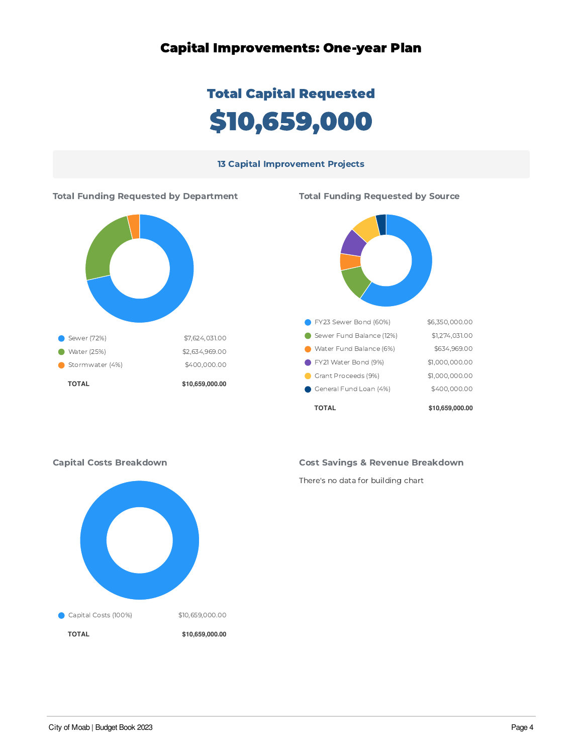### Capital Improvements: One-year Plan

# Total Capital Requested 10,659,000

#### 13 Capital Improvement Projects





#### Cost Savings & Revenue Breakdown

There's no data for building chart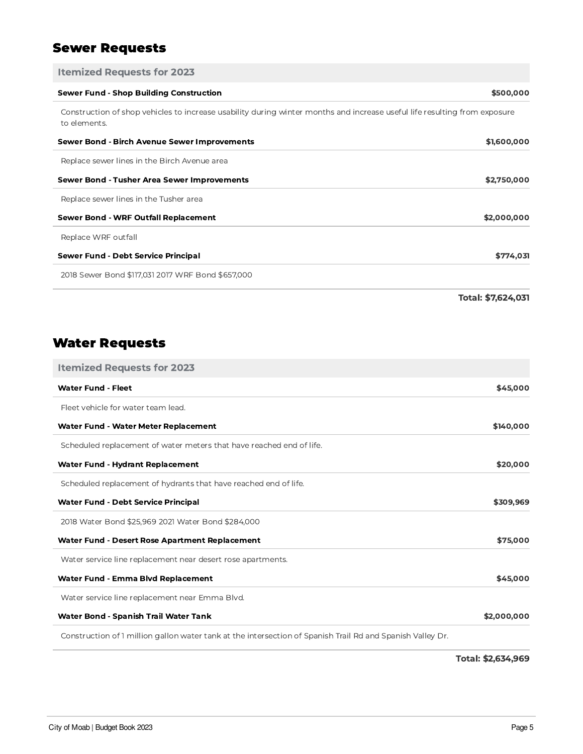# Sewer Requests

| <b>Itemized Requests for 2023</b>                                                                                                         |                    |
|-------------------------------------------------------------------------------------------------------------------------------------------|--------------------|
| <b>Sewer Fund - Shop Building Construction</b>                                                                                            | \$500,000          |
| Construction of shop vehicles to increase usability during winter months and increase useful life resulting from exposure<br>to elements. |                    |
| Sewer Bond - Birch Avenue Sewer Improvements                                                                                              | \$1,600,000        |
| Replace sewer lines in the Birch Avenue area                                                                                              |                    |
| Sewer Bond - Tusher Area Sewer Improvements                                                                                               | \$2,750,000        |
| Replace sewer lines in the Tusher area                                                                                                    |                    |
| <b>Sewer Bond - WRF Outfall Replacement</b>                                                                                               | \$2,000,000        |
| Replace WRF outfall                                                                                                                       |                    |
| Sewer Fund - Debt Service Principal                                                                                                       | \$774,031          |
| 2018 Sewer Bond \$117,031 2017 WRF Bond \$657,000                                                                                         |                    |
|                                                                                                                                           | Total: \$7,624,031 |

# Water Requests

| <b>Itemized Requests for 2023</b>                                                                          |             |
|------------------------------------------------------------------------------------------------------------|-------------|
| <b>Water Fund - Fleet</b>                                                                                  | \$45,000    |
| Fleet vehicle for water team lead.                                                                         |             |
| Water Fund - Water Meter Replacement                                                                       | \$140,000   |
| Scheduled replacement of water meters that have reached end of life.                                       |             |
| <b>Water Fund - Hydrant Replacement</b>                                                                    | \$20,000    |
| Scheduled replacement of hydrants that have reached end of life.                                           |             |
| <b>Water Fund - Debt Service Principal</b>                                                                 | \$309,969   |
| 2018 Water Bond \$25,969 2021 Water Bond \$284,000                                                         |             |
| Water Fund - Desert Rose Apartment Replacement                                                             | \$75,000    |
| Water service line replacement near desert rose apartments.                                                |             |
| Water Fund - Emma Blvd Replacement                                                                         | \$45,000    |
| Water service line replacement near Emma Blvd.                                                             |             |
| Water Bond - Spanish Trail Water Tank                                                                      | \$2,000,000 |
| Construction of 1 million gallon water tank at the intersection of Spanish Trail Rd and Spanish Valley Dr. |             |

Total: \$2,634,969